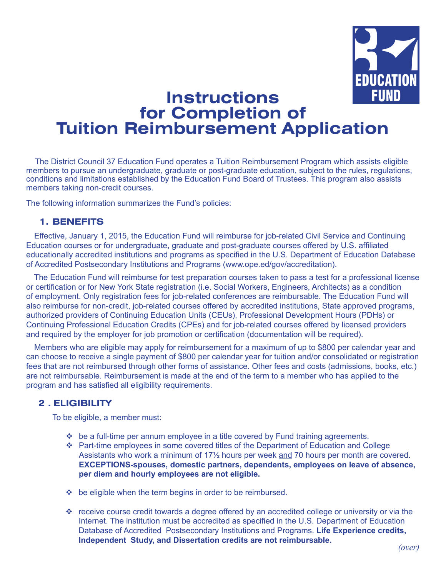

# **Instructions for Completion of Tuition Reimbursement Application**

The District Council 37 Education Fund operates a Tuition Reimbursement Program which assists eligible members to pursue an undergraduate, graduate or post-graduate education, subject to the rules, regulations, conditions and limitations established by the Education Fund Board of Trustees. This program also assists members taking non-credit courses.

The following information summarizes the Fund's policies:

#### **1. BENEFITS**

Effective, January 1, 2015, the Education Fund will reimburse for job-related Civil Service and Continuing Education courses or for undergraduate, graduate and post-graduate courses offered by U.S. affiliated educationally accredited institutions and programs as specified in the U.S. Department of Education Database of Accredited Postsecondary Institutions and Programs (www.ope.ed/gov/accreditation).

 The Education Fund will reimburse for test preparation courses taken to pass a test for a professional license or certification or for New York State registration (i.e. Social Workers, Engineers, Architects) as a condition of employment. Only registration fees for job-related conferences are reimbursable. The Education Fund will also reimburse for non-credit, job-related courses offered by accredited institutions, State approved programs, authorized providers of Continuing Education Units (CEUs), Professional Development Hours (PDHs) or Continuing Professional Education Credits (CPEs) and for job-related courses offered by licensed providers and required by the employer for job promotion or certification (documentation will be required).

 Members who are eligible may apply for reimbursement for a maximum of up to \$800 per calendar year and can choose to receive a single payment of \$800 per calendar year for tuition and/or consolidated or registration fees that are not reimbursed through other forms of assistance. Other fees and costs (admissions, books, etc.) are not reimbursable. Reimbursement is made at the end of the term to a member who has applied to the program and has satisfied all eligibility requirements.

#### **2 . ELIGIBILITY**

To be eligible, a member must:

- $\div$  be a full-time per annum employee in a title covered by Fund training agreements.
- Part-time employees in some covered titles of the Department of Education and College Assistants who work a minimum of 17½ hours per week and 70 hours per month are covered. **EXCEPTIONS-spouses, domestic partners, dependents, employees on leave of absence, per diem and hourly employees are not eligible.**
- $\div$  be eligible when the term begins in order to be reimbursed.
- $\cdot$  receive course credit towards a degree offered by an accredited college or university or via the Internet. The institution must be accredited as specified in the U.S. Department of Education Database of Accredited Postsecondary Institutions and Programs. **Life Experience credits, Independent Study, and Dissertation credits are not reimbursable.**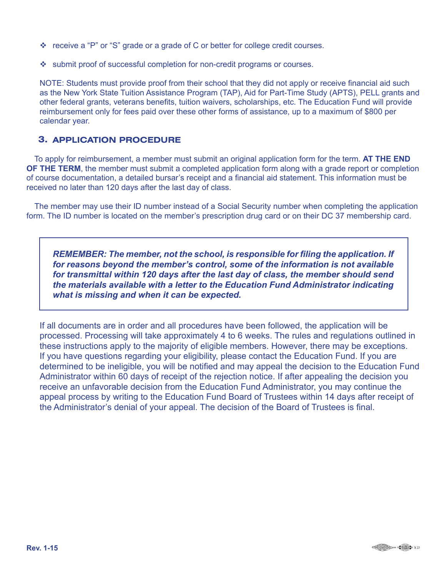- $\div$  receive a "P" or "S" grade or a grade of C or better for college credit courses.
- submit proof of successful completion for non-credit programs or courses.

NOTE: Students must provide proof from their school that they did not apply or receive financial aid such as the New York State Tuition Assistance Program (TAP), Aid for Part-Time Study (APTS), PELL grants and other federal grants, veterans benefits, tuition waivers, scholarships, etc. The Education Fund will provide reimbursement only for fees paid over these other forms of assistance, up to a maximum of \$800 per calendar year.

#### **1. APPLICATION PROCEDURE 3.**

 To apply for reimbursement, a member must submit an original application form for the term. **AT THE END OF THE TERM**, the member must submit a completed application form along with a grade report or completion of course documentation, a detailed bursar's receipt and a financial aid statement. This information must be received no later than 120 days after the last day of class.

 The member may use their ID number instead of a Social Security number when completing the application form. The ID number is located on the member's prescription drug card or on their DC 37 membership card.

*REMEMBER: The member, not the school, is responsible for filing the application. If for reasons beyond the member's control, some of the information is not available for transmittal within 120 days after the last day of class, the member should send the materials available with a letter to the Education Fund Administrator indicating what is missing and when it can be expected.*

If all documents are in order and all procedures have been followed, the application will be processed. Processing will take approximately 4 to 6 weeks. The rules and regulations outlined in these instructions apply to the majority of eligible members. However, there may be exceptions. If you have questions regarding your eligibility, please contact the Education Fund. If you are determined to be ineligible, you will be notified and may appeal the decision to the Education Fund Administrator within 60 days of receipt of the rejection notice. If after appealing the decision you receive an unfavorable decision from the Education Fund Administrator, you may continue the appeal process by writing to the Education Fund Board of Trustees within 14 days after receipt of the Administrator's denial of your appeal. The decision of the Board of Trustees is final.